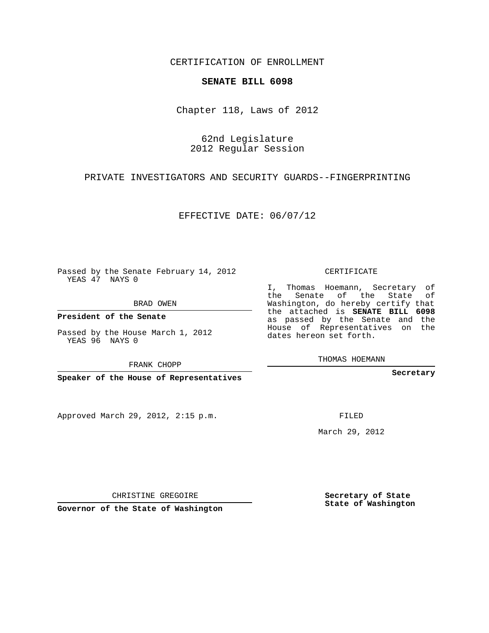CERTIFICATION OF ENROLLMENT

## **SENATE BILL 6098**

Chapter 118, Laws of 2012

62nd Legislature 2012 Regular Session

PRIVATE INVESTIGATORS AND SECURITY GUARDS--FINGERPRINTING

EFFECTIVE DATE: 06/07/12

Passed by the Senate February 14, 2012 YEAS 47 NAYS 0

BRAD OWEN

**President of the Senate**

Passed by the House March 1, 2012 YEAS 96 NAYS 0

FRANK CHOPP

**Speaker of the House of Representatives**

Approved March 29, 2012, 2:15 p.m.

CERTIFICATE

I, Thomas Hoemann, Secretary of the Senate of the State of Washington, do hereby certify that the attached is **SENATE BILL 6098** as passed by the Senate and the House of Representatives on the dates hereon set forth.

THOMAS HOEMANN

**Secretary**

FILED

March 29, 2012

**Secretary of State State of Washington**

CHRISTINE GREGOIRE

**Governor of the State of Washington**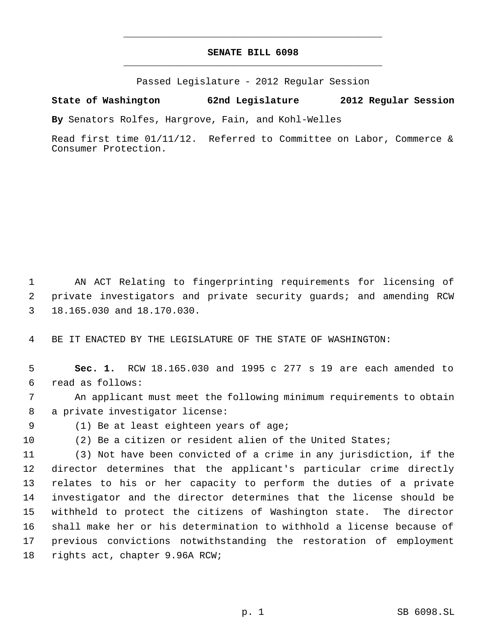## **SENATE BILL 6098** \_\_\_\_\_\_\_\_\_\_\_\_\_\_\_\_\_\_\_\_\_\_\_\_\_\_\_\_\_\_\_\_\_\_\_\_\_\_\_\_\_\_\_\_\_

\_\_\_\_\_\_\_\_\_\_\_\_\_\_\_\_\_\_\_\_\_\_\_\_\_\_\_\_\_\_\_\_\_\_\_\_\_\_\_\_\_\_\_\_\_

Passed Legislature - 2012 Regular Session

**State of Washington 62nd Legislature 2012 Regular Session**

**By** Senators Rolfes, Hargrove, Fain, and Kohl-Welles

Read first time 01/11/12. Referred to Committee on Labor, Commerce & Consumer Protection.

 AN ACT Relating to fingerprinting requirements for licensing of private investigators and private security guards; and amending RCW 18.165.030 and 18.170.030.

BE IT ENACTED BY THE LEGISLATURE OF THE STATE OF WASHINGTON:

 **Sec. 1.** RCW 18.165.030 and 1995 c 277 s 19 are each amended to read as follows:

 An applicant must meet the following minimum requirements to obtain a private investigator license:

(1) Be at least eighteen years of age;

(2) Be a citizen or resident alien of the United States;

 (3) Not have been convicted of a crime in any jurisdiction, if the director determines that the applicant's particular crime directly relates to his or her capacity to perform the duties of a private investigator and the director determines that the license should be withheld to protect the citizens of Washington state. The director shall make her or his determination to withhold a license because of previous convictions notwithstanding the restoration of employment rights act, chapter 9.96A RCW;